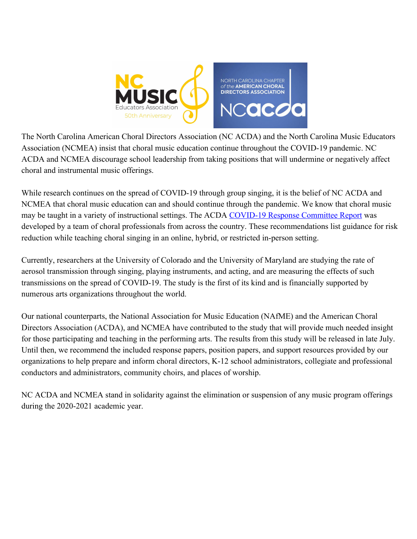

The North Carolina American Choral Directors Association (NC ACDA) and the North Carolina Music Educators Association (NCMEA) insist that choral music education continue throughout the COVID-19 pandemic. NC ACDA and NCMEA discourage school leadership from taking positions that will undermine or negatively affect choral and instrumental music offerings.

While research continues on the spread of COVID-19 through group singing, it is the belief of NC ACDA and NCMEA that choral music education can and should continue through the pandemic. We know that choral music may be taught in a variety of instructional settings. The ACDA [COVID-19 Response Committee Report](https://acda.org/wp-content/uploads/2020/06/ACDA-COVID-19-Committee-Report.pdf) was developed by a team of choral professionals from across the country. These recommendations list guidance for risk reduction while teaching choral singing in an online, hybrid, or restricted in-person setting.

Currently, researchers at the University of Colorado and the University of Maryland are studying the rate of aerosol transmission through singing, playing instruments, and acting, and are measuring the effects of such transmissions on the spread of COVID-19. The study is the first of its kind and is financially supported by numerous arts organizations throughout the world.

Our national counterparts, the National Association for Music Education (NAfME) and the American Choral Directors Association (ACDA), and NCMEA have contributed to the study that will provide much needed insight for those participating and teaching in the performing arts. The results from this study will be released in late July. Until then, we recommend the included response papers, position papers, and support resources provided by our organizations to help prepare and inform choral directors, K-12 school administrators, collegiate and professional conductors and administrators, community choirs, and places of worship.

NC ACDA and NCMEA stand in solidarity against the elimination or suspension of any music program offerings during the 2020-2021 academic year.